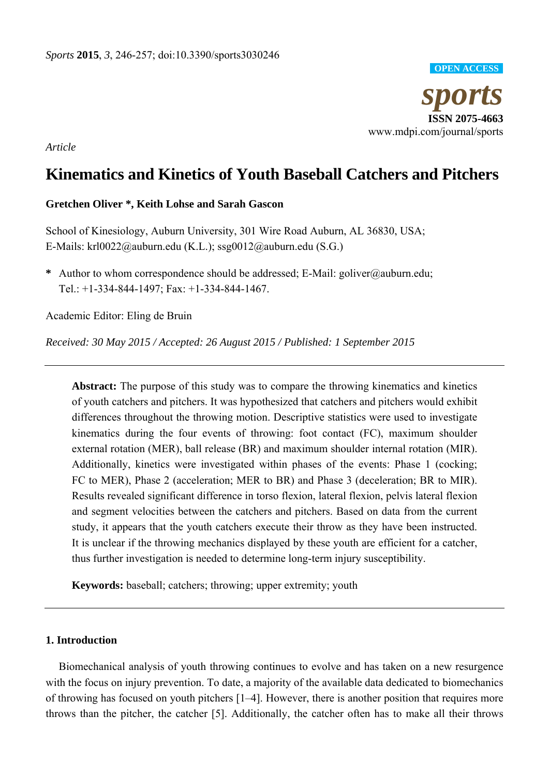

*Article* 

# **Kinematics and Kinetics of Youth Baseball Catchers and Pitchers**

# **Gretchen Oliver \*, Keith Lohse and Sarah Gascon**

School of Kinesiology, Auburn University, 301 Wire Road Auburn, AL 36830, USA; E-Mails: krl0022@auburn.edu (K.L.); ssg0012@auburn.edu (S.G.)

**\*** Author to whom correspondence should be addressed; E-Mail: goliver@auburn.edu; Tel.: +1-334-844-1497; Fax: +1-334-844-1467.

Academic Editor: Eling de Bruin

*Received: 30 May 2015 / Accepted: 26 August 2015 / Published: 1 September 2015* 

**Abstract:** The purpose of this study was to compare the throwing kinematics and kinetics of youth catchers and pitchers. It was hypothesized that catchers and pitchers would exhibit differences throughout the throwing motion. Descriptive statistics were used to investigate kinematics during the four events of throwing: foot contact (FC), maximum shoulder external rotation (MER), ball release (BR) and maximum shoulder internal rotation (MIR). Additionally, kinetics were investigated within phases of the events: Phase 1 (cocking; FC to MER), Phase 2 (acceleration; MER to BR) and Phase 3 (deceleration; BR to MIR). Results revealed significant difference in torso flexion, lateral flexion, pelvis lateral flexion and segment velocities between the catchers and pitchers. Based on data from the current study, it appears that the youth catchers execute their throw as they have been instructed. It is unclear if the throwing mechanics displayed by these youth are efficient for a catcher, thus further investigation is needed to determine long-term injury susceptibility.

**Keywords:** baseball; catchers; throwing; upper extremity; youth

## **1. Introduction**

Biomechanical analysis of youth throwing continues to evolve and has taken on a new resurgence with the focus on injury prevention. To date, a majority of the available data dedicated to biomechanics of throwing has focused on youth pitchers [1–4]. However, there is another position that requires more throws than the pitcher, the catcher [5]. Additionally, the catcher often has to make all their throws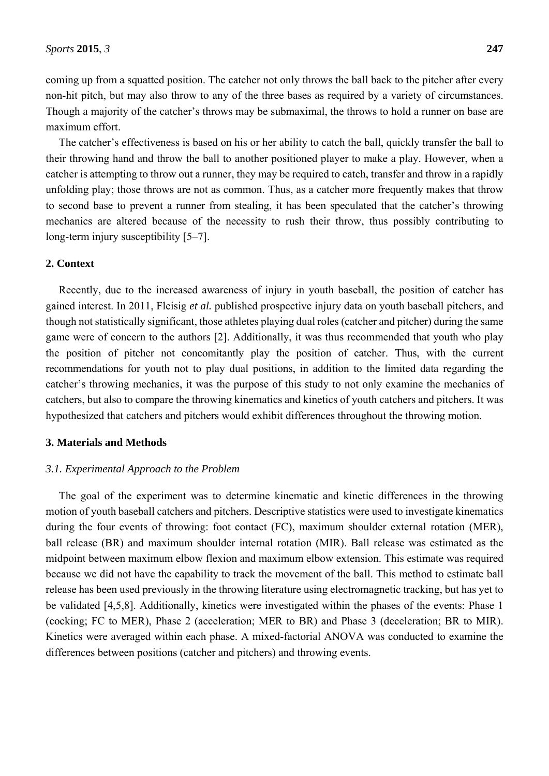coming up from a squatted position. The catcher not only throws the ball back to the pitcher after every non-hit pitch, but may also throw to any of the three bases as required by a variety of circumstances. Though a majority of the catcher's throws may be submaximal, the throws to hold a runner on base are maximum effort.

The catcher's effectiveness is based on his or her ability to catch the ball, quickly transfer the ball to their throwing hand and throw the ball to another positioned player to make a play. However, when a catcher is attempting to throw out a runner, they may be required to catch, transfer and throw in a rapidly unfolding play; those throws are not as common. Thus, as a catcher more frequently makes that throw to second base to prevent a runner from stealing, it has been speculated that the catcher's throwing mechanics are altered because of the necessity to rush their throw, thus possibly contributing to long-term injury susceptibility [5–7].

## **2. Context**

Recently, due to the increased awareness of injury in youth baseball, the position of catcher has gained interest. In 2011, Fleisig *et al.* published prospective injury data on youth baseball pitchers, and though not statistically significant, those athletes playing dual roles (catcher and pitcher) during the same game were of concern to the authors [2]. Additionally, it was thus recommended that youth who play the position of pitcher not concomitantly play the position of catcher. Thus, with the current recommendations for youth not to play dual positions, in addition to the limited data regarding the catcher's throwing mechanics, it was the purpose of this study to not only examine the mechanics of catchers, but also to compare the throwing kinematics and kinetics of youth catchers and pitchers. It was hypothesized that catchers and pitchers would exhibit differences throughout the throwing motion.

#### **3. Materials and Methods**

## *3.1. Experimental Approach to the Problem*

The goal of the experiment was to determine kinematic and kinetic differences in the throwing motion of youth baseball catchers and pitchers. Descriptive statistics were used to investigate kinematics during the four events of throwing: foot contact (FC), maximum shoulder external rotation (MER), ball release (BR) and maximum shoulder internal rotation (MIR). Ball release was estimated as the midpoint between maximum elbow flexion and maximum elbow extension. This estimate was required because we did not have the capability to track the movement of the ball. This method to estimate ball release has been used previously in the throwing literature using electromagnetic tracking, but has yet to be validated [4,5,8]. Additionally, kinetics were investigated within the phases of the events: Phase 1 (cocking; FC to MER), Phase 2 (acceleration; MER to BR) and Phase 3 (deceleration; BR to MIR). Kinetics were averaged within each phase. A mixed-factorial ANOVA was conducted to examine the differences between positions (catcher and pitchers) and throwing events.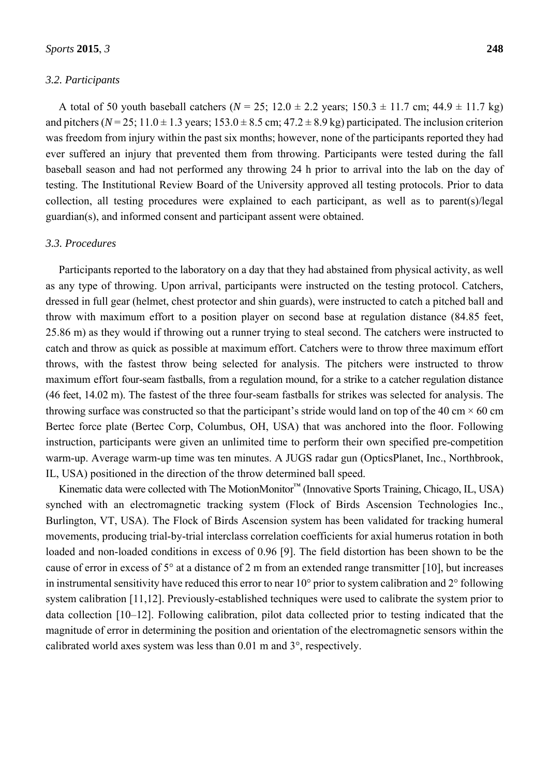## *3.2. Participants*

A total of 50 youth baseball catchers ( $N = 25$ ; 12.0  $\pm$  2.2 years; 150.3  $\pm$  11.7 cm; 44.9  $\pm$  11.7 kg) and pitchers ( $N = 25$ ; 11.0  $\pm$  1.3 years; 153.0  $\pm$  8.5 cm; 47.2  $\pm$  8.9 kg) participated. The inclusion criterion was freedom from injury within the past six months; however, none of the participants reported they had ever suffered an injury that prevented them from throwing. Participants were tested during the fall baseball season and had not performed any throwing 24 h prior to arrival into the lab on the day of testing. The Institutional Review Board of the University approved all testing protocols. Prior to data collection, all testing procedures were explained to each participant, as well as to parent(s)/legal guardian(s), and informed consent and participant assent were obtained.

## *3.3. Procedures*

Participants reported to the laboratory on a day that they had abstained from physical activity, as well as any type of throwing. Upon arrival, participants were instructed on the testing protocol. Catchers, dressed in full gear (helmet, chest protector and shin guards), were instructed to catch a pitched ball and throw with maximum effort to a position player on second base at regulation distance (84.85 feet, 25.86 m) as they would if throwing out a runner trying to steal second. The catchers were instructed to catch and throw as quick as possible at maximum effort. Catchers were to throw three maximum effort throws, with the fastest throw being selected for analysis. The pitchers were instructed to throw maximum effort four-seam fastballs, from a regulation mound, for a strike to a catcher regulation distance (46 feet, 14.02 m). The fastest of the three four-seam fastballs for strikes was selected for analysis. The throwing surface was constructed so that the participant's stride would land on top of the 40 cm  $\times$  60 cm Bertec force plate (Bertec Corp, Columbus, OH, USA) that was anchored into the floor. Following instruction, participants were given an unlimited time to perform their own specified pre-competition warm-up. Average warm-up time was ten minutes. A JUGS radar gun (OpticsPlanet, Inc., Northbrook, IL, USA) positioned in the direction of the throw determined ball speed.

Kinematic data were collected with The MotionMonitor™ (Innovative Sports Training, Chicago, IL, USA) synched with an electromagnetic tracking system (Flock of Birds Ascension Technologies Inc., Burlington, VT, USA). The Flock of Birds Ascension system has been validated for tracking humeral movements, producing trial-by-trial interclass correlation coefficients for axial humerus rotation in both loaded and non-loaded conditions in excess of 0.96 [9]. The field distortion has been shown to be the cause of error in excess of 5° at a distance of 2 m from an extended range transmitter [10], but increases in instrumental sensitivity have reduced this error to near 10° prior to system calibration and 2° following system calibration [11,12]. Previously-established techniques were used to calibrate the system prior to data collection [10–12]. Following calibration, pilot data collected prior to testing indicated that the magnitude of error in determining the position and orientation of the electromagnetic sensors within the calibrated world axes system was less than 0.01 m and 3°, respectively.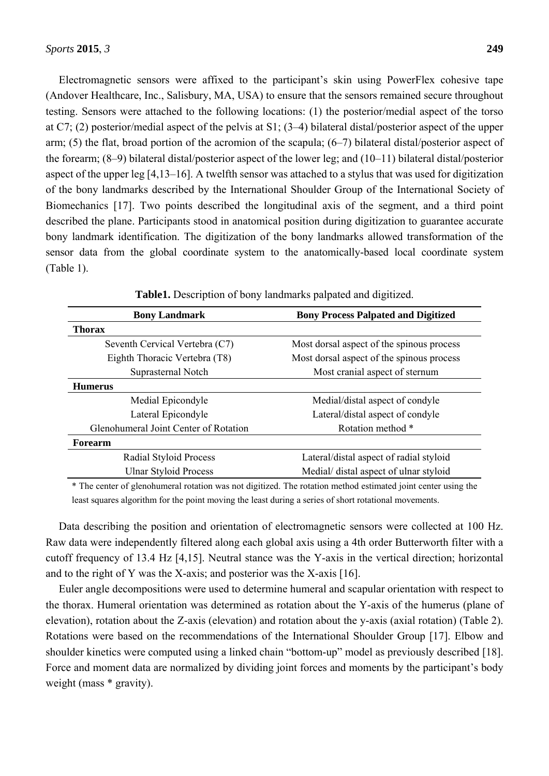Electromagnetic sensors were affixed to the participant's skin using PowerFlex cohesive tape (Andover Healthcare, Inc., Salisbury, MA, USA) to ensure that the sensors remained secure throughout testing. Sensors were attached to the following locations: (1) the posterior/medial aspect of the torso at C7; (2) posterior/medial aspect of the pelvis at S1; (3–4) bilateral distal/posterior aspect of the upper arm; (5) the flat, broad portion of the acromion of the scapula; (6–7) bilateral distal/posterior aspect of the forearm; (8–9) bilateral distal/posterior aspect of the lower leg; and (10–11) bilateral distal/posterior aspect of the upper leg [4,13–16]. A twelfth sensor was attached to a stylus that was used for digitization of the bony landmarks described by the International Shoulder Group of the International Society of Biomechanics [17]. Two points described the longitudinal axis of the segment, and a third point described the plane. Participants stood in anatomical position during digitization to guarantee accurate bony landmark identification. The digitization of the bony landmarks allowed transformation of the sensor data from the global coordinate system to the anatomically-based local coordinate system (Table 1).

| <b>Bony Landmark</b>                  | <b>Bony Process Palpated and Digitized</b> |  |  |  |
|---------------------------------------|--------------------------------------------|--|--|--|
| <b>Thorax</b>                         |                                            |  |  |  |
| Seventh Cervical Vertebra (C7)        | Most dorsal aspect of the spinous process  |  |  |  |
| Eighth Thoracic Vertebra (T8)         | Most dorsal aspect of the spinous process  |  |  |  |
| Suprasternal Notch                    | Most cranial aspect of sternum             |  |  |  |
| <b>Humerus</b>                        |                                            |  |  |  |
| Medial Epicondyle                     | Medial/distal aspect of condyle            |  |  |  |
| Lateral Epicondyle                    | Lateral/distal aspect of condyle           |  |  |  |
| Glenohumeral Joint Center of Rotation | Rotation method *                          |  |  |  |
| Forearm                               |                                            |  |  |  |
| Radial Styloid Process                | Lateral/distal aspect of radial styloid    |  |  |  |
| <b>Ulnar Styloid Process</b>          | Medial/ distal aspect of ulnar styloid     |  |  |  |

**Table1.** Description of bony landmarks palpated and digitized.

\* The center of glenohumeral rotation was not digitized. The rotation method estimated joint center using the least squares algorithm for the point moving the least during a series of short rotational movements.

Data describing the position and orientation of electromagnetic sensors were collected at 100 Hz. Raw data were independently filtered along each global axis using a 4th order Butterworth filter with a cutoff frequency of 13.4 Hz [4,15]. Neutral stance was the Y-axis in the vertical direction; horizontal and to the right of Y was the X-axis; and posterior was the X-axis [16].

Euler angle decompositions were used to determine humeral and scapular orientation with respect to the thorax. Humeral orientation was determined as rotation about the Y-axis of the humerus (plane of elevation), rotation about the Z-axis (elevation) and rotation about the y-axis (axial rotation) (Table 2). Rotations were based on the recommendations of the International Shoulder Group [17]. Elbow and shoulder kinetics were computed using a linked chain "bottom-up" model as previously described [18]. Force and moment data are normalized by dividing joint forces and moments by the participant's body weight (mass \* gravity).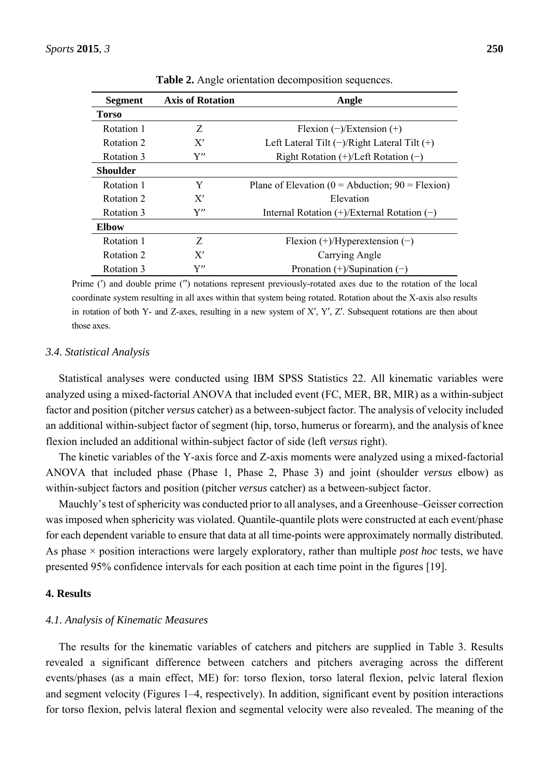| <b>Segment</b>  | <b>Axis of Rotation</b>  | Angle                                                 |  |  |
|-----------------|--------------------------|-------------------------------------------------------|--|--|
| <b>Torso</b>    |                          |                                                       |  |  |
| Rotation 1      | Z                        | Flexion $(-)/$ Extension $(+)$                        |  |  |
| Rotation 2      | X'                       | Left Lateral Tilt $(-)/$ Right Lateral Tilt $(+)$     |  |  |
| Rotation 3      | ${\rm Y}^{\prime\prime}$ | Right Rotation $(+)$ /Left Rotation $(-)$             |  |  |
| <b>Shoulder</b> |                          |                                                       |  |  |
| Rotation 1      | Y                        | Plane of Elevation ( $0 =$ Abduction; $90 =$ Flexion) |  |  |
| Rotation 2      | X'                       | Elevation                                             |  |  |
| Rotation 3      | ${\rm Y}^{\prime\prime}$ | Internal Rotation $(+)$ /External Rotation $(-)$      |  |  |
| <b>Elbow</b>    |                          |                                                       |  |  |
| Rotation 1      | Z                        | Flexion $(+)$ /Hyperextension $(-)$                   |  |  |
| Rotation 2      | X'                       | Carrying Angle                                        |  |  |
| Rotation 3      | ${\rm Y}^{\prime\prime}$ | Pronation $(+)$ /Supination $(-)$                     |  |  |

**Table 2.** Angle orientation decomposition sequences.

Prime ( $'$ ) and double prime ( $''$ ) notations represent previously-rotated axes due to the rotation of the local coordinate system resulting in all axes within that system being rotated. Rotation about the X-axis also results in rotation of both Y- and Z-axes, resulting in a new system of X', Y', Z'. Subsequent rotations are then about those axes.

#### *3.4. Statistical Analysis*

Statistical analyses were conducted using IBM SPSS Statistics 22. All kinematic variables were analyzed using a mixed-factorial ANOVA that included event (FC, MER, BR, MIR) as a within-subject factor and position (pitcher *versus* catcher) as a between-subject factor. The analysis of velocity included an additional within-subject factor of segment (hip, torso, humerus or forearm), and the analysis of knee flexion included an additional within-subject factor of side (left *versus* right).

The kinetic variables of the Y-axis force and Z-axis moments were analyzed using a mixed-factorial ANOVA that included phase (Phase 1, Phase 2, Phase 3) and joint (shoulder *versus* elbow) as within-subject factors and position (pitcher *versus* catcher) as a between-subject factor.

Mauchly's test of sphericity was conducted prior to all analyses, and a Greenhouse–Geisser correction was imposed when sphericity was violated. Quantile-quantile plots were constructed at each event/phase for each dependent variable to ensure that data at all time-points were approximately normally distributed. As phase × position interactions were largely exploratory, rather than multiple *post hoc* tests, we have presented 95% confidence intervals for each position at each time point in the figures [19].

#### **4. Results**

#### *4.1. Analysis of Kinematic Measures*

The results for the kinematic variables of catchers and pitchers are supplied in Table 3. Results revealed a significant difference between catchers and pitchers averaging across the different events/phases (as a main effect, ME) for: torso flexion, torso lateral flexion, pelvic lateral flexion and segment velocity (Figures 1–4, respectively). In addition, significant event by position interactions for torso flexion, pelvis lateral flexion and segmental velocity were also revealed. The meaning of the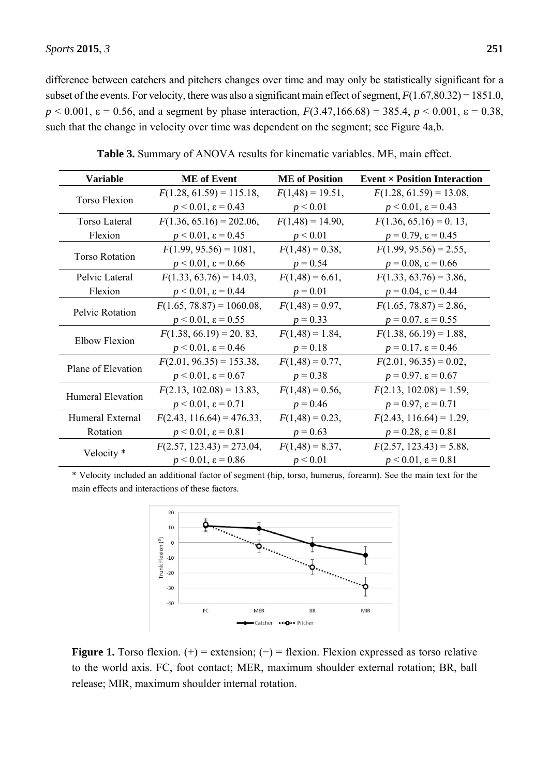difference between catchers and pitchers changes over time and may only be statistically significant for a subset of the events. For velocity, there was also a significant main effect of segment, *F*(1.67,80.32) = 1851.0, *p* < 0.001,  $\varepsilon$  = 0.56, and a segment by phase interaction,  $F(3.47,166.68) = 385.4$ ,  $p < 0.001$ ,  $\varepsilon$  = 0.38, such that the change in velocity over time was dependent on the segment; see Figure 4a,b.

| <b>Variable</b>          | <b>ME</b> of Event                | <b>ME</b> of Position | Event $\times$ Position Interaction |  |
|--------------------------|-----------------------------------|-----------------------|-------------------------------------|--|
| <b>Torso Flexion</b>     | $F(1.28, 61.59) = 115.18,$        | $F(1,48) = 19.51,$    | $F(1.28, 61.59) = 13.08,$           |  |
|                          | $p < 0.01$ , $\varepsilon = 0.43$ | p < 0.01              | $p < 0.01$ , $\varepsilon = 0.43$   |  |
| Torso Lateral            | $F(1.36, 65.16) = 202.06,$        | $F(1,48) = 14.90,$    | $F(1.36, 65.16) = 0.13$ ,           |  |
| Flexion                  | $p < 0.01$ , $\varepsilon = 0.45$ | p < 0.01              | $p = 0.79$ , $\varepsilon = 0.45$   |  |
| <b>Torso Rotation</b>    | $F(1.99, 95.56) = 1081,$          | $F(1,48) = 0.38$ ,    | $F(1.99, 95.56) = 2.55$ ,           |  |
|                          | $p < 0.01$ , $\varepsilon = 0.66$ | $p = 0.54$            | $p = 0.08$ , $\varepsilon = 0.66$   |  |
| Pelvic Lateral           | $F(1.33, 63.76) = 14.03,$         | $F(1,48) = 6.61,$     | $F(1.33, 63.76) = 3.86,$            |  |
| Flexion                  | $p < 0.01$ , $\varepsilon = 0.44$ | $p = 0.01$            | $p = 0.04$ , $\varepsilon = 0.44$   |  |
| Pelvic Rotation          | $F(1.65, 78.87) = 1060.08,$       | $F(1,48) = 0.97$ ,    | $F(1.65, 78.87) = 2.86,$            |  |
|                          | $p < 0.01$ , $\varepsilon = 0.55$ | $p = 0.33$            | $p = 0.07$ , $\varepsilon = 0.55$   |  |
| <b>Elbow Flexion</b>     | $F(1.38, 66.19) = 20.83,$         | $F(1,48) = 1.84,$     | $F(1.38, 66.19) = 1.88,$            |  |
|                          | $p < 0.01$ , $\varepsilon = 0.46$ | $p = 0.18$            | $p = 0.17$ , $\varepsilon = 0.46$   |  |
| Plane of Elevation       | $F(2.01, 96.35) = 153.38,$        | $F(1,48) = 0.77,$     | $F(2.01, 96.35) = 0.02$             |  |
|                          | $p < 0.01$ , $\varepsilon = 0.67$ | $p = 0.38$            | $p = 0.97$ , $\varepsilon = 0.67$   |  |
| <b>Humeral Elevation</b> | $F(2.13, 102.08) = 13.83,$        | $F(1,48) = 0.56$ ,    | $F(2.13, 102.08) = 1.59$ ,          |  |
|                          | $p < 0.01$ , $\varepsilon = 0.71$ | $p = 0.46$            | $p = 0.97$ , $\varepsilon = 0.71$   |  |
| Humeral External         | $F(2.43, 116.64) = 476.33,$       | $F(1,48) = 0.23$ ,    | $F(2.43, 116.64) = 1.29,$           |  |
| Rotation                 | $p < 0.01$ , $\varepsilon = 0.81$ | $p = 0.63$            | $p = 0.28$ , $\varepsilon = 0.81$   |  |
|                          | $F(2.57, 123.43) = 273.04,$       | $F(1,48) = 8.37,$     | $F(2.57, 123.43) = 5.88,$           |  |
| Velocity <sup>*</sup>    | $p < 0.01$ , $\varepsilon = 0.86$ | p < 0.01              | $p < 0.01$ , $\varepsilon = 0.81$   |  |

**Table 3.** Summary of ANOVA results for kinematic variables. ME, main effect.

\* Velocity included an additional factor of segment (hip, torso, humerus, forearm). See the main text for the main effects and interactions of these factors.



**Figure 1.** Torso flexion.  $(+)$  = extension;  $(-)$  = flexion. Flexion expressed as torso relative to the world axis. FC, foot contact; MER, maximum shoulder external rotation; BR, ball release; MIR, maximum shoulder internal rotation.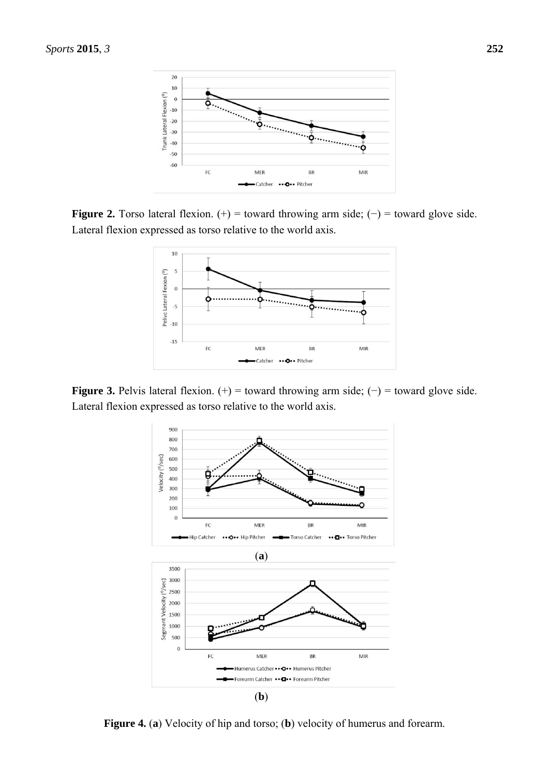

**Figure 2.** Torso lateral flexion.  $(+)$  = toward throwing arm side;  $(-)$  = toward glove side. Lateral flexion expressed as torso relative to the world axis.



**Figure 3.** Pelvis lateral flexion.  $(+)$  = toward throwing arm side;  $(-)$  = toward glove side. Lateral flexion expressed as torso relative to the world axis.



**Figure 4.** (**a**) Velocity of hip and torso; (**b**) velocity of humerus and forearm.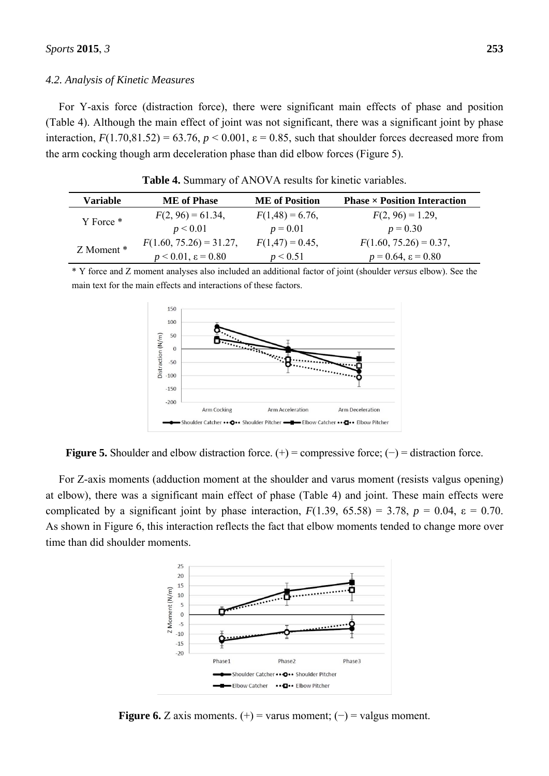#### *4.2. Analysis of Kinetic Measures*

For Y-axis force (distraction force), there were significant main effects of phase and position (Table 4). Although the main effect of joint was not significant, there was a significant joint by phase interaction,  $F(1.70,81.52) = 63.76$ ,  $p < 0.001$ ,  $\varepsilon = 0.85$ , such that shoulder forces decreased more from the arm cocking though arm deceleration phase than did elbow forces (Figure 5).

| Variable   | <b>ME</b> of Phase                | <b>ME</b> of Position | <b>Phase <math>\times</math> Position Interaction</b> |
|------------|-----------------------------------|-----------------------|-------------------------------------------------------|
| Y Force *  | $F(2, 96) = 61.34$ ,              | $F(1,48) = 6.76$ ,    | $F(2, 96) = 1.29$ ,                                   |
|            | p < 0.01                          | $p = 0.01$            | $p = 0.30$                                            |
|            | $F(1.60, 75.26) = 31.27$          | $F(1,47) = 0.45$ ,    | $F(1.60, 75.26) = 0.37$ ,                             |
| Z Moment * | $p < 0.01$ , $\varepsilon = 0.80$ | p < 0.51              | $p = 0.64$ , $\varepsilon = 0.80$                     |

|  |  | Table 4. Summary of ANOVA results for kinetic variables. |  |  |  |  |
|--|--|----------------------------------------------------------|--|--|--|--|
|--|--|----------------------------------------------------------|--|--|--|--|

\* Y force and Z moment analyses also included an additional factor of joint (shoulder *versus* elbow). See the main text for the main effects and interactions of these factors.



**Figure 5.** Shoulder and elbow distraction force. (+) = compressive force; (−) = distraction force.

For Z-axis moments (adduction moment at the shoulder and varus moment (resists valgus opening) at elbow), there was a significant main effect of phase (Table 4) and joint. These main effects were complicated by a significant joint by phase interaction,  $F(1.39, 65.58) = 3.78$ ,  $p = 0.04$ ,  $\varepsilon = 0.70$ . As shown in Figure 6, this interaction reflects the fact that elbow moments tended to change more over time than did shoulder moments.



**Figure 6.** Z axis moments.  $(+)$  = varus moment;  $(-)$  = valgus moment.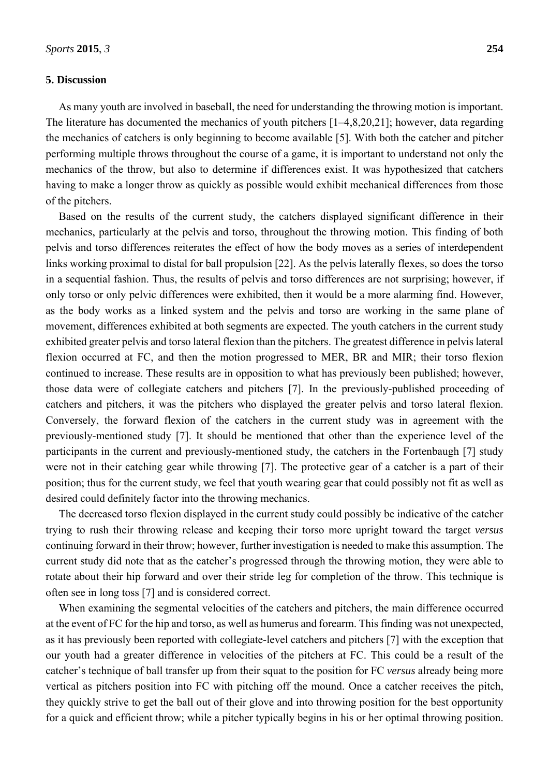#### **5. Discussion**

As many youth are involved in baseball, the need for understanding the throwing motion is important. The literature has documented the mechanics of youth pitchers [1–4,8,20,21]; however, data regarding the mechanics of catchers is only beginning to become available [5]. With both the catcher and pitcher performing multiple throws throughout the course of a game, it is important to understand not only the mechanics of the throw, but also to determine if differences exist. It was hypothesized that catchers having to make a longer throw as quickly as possible would exhibit mechanical differences from those of the pitchers.

Based on the results of the current study, the catchers displayed significant difference in their mechanics, particularly at the pelvis and torso, throughout the throwing motion. This finding of both pelvis and torso differences reiterates the effect of how the body moves as a series of interdependent links working proximal to distal for ball propulsion [22]. As the pelvis laterally flexes, so does the torso in a sequential fashion. Thus, the results of pelvis and torso differences are not surprising; however, if only torso or only pelvic differences were exhibited, then it would be a more alarming find. However, as the body works as a linked system and the pelvis and torso are working in the same plane of movement, differences exhibited at both segments are expected. The youth catchers in the current study exhibited greater pelvis and torso lateral flexion than the pitchers. The greatest difference in pelvis lateral flexion occurred at FC, and then the motion progressed to MER, BR and MIR; their torso flexion continued to increase. These results are in opposition to what has previously been published; however, those data were of collegiate catchers and pitchers [7]. In the previously-published proceeding of catchers and pitchers, it was the pitchers who displayed the greater pelvis and torso lateral flexion. Conversely, the forward flexion of the catchers in the current study was in agreement with the previously-mentioned study [7]. It should be mentioned that other than the experience level of the participants in the current and previously-mentioned study, the catchers in the Fortenbaugh [7] study were not in their catching gear while throwing [7]. The protective gear of a catcher is a part of their position; thus for the current study, we feel that youth wearing gear that could possibly not fit as well as desired could definitely factor into the throwing mechanics.

The decreased torso flexion displayed in the current study could possibly be indicative of the catcher trying to rush their throwing release and keeping their torso more upright toward the target *versus* continuing forward in their throw; however, further investigation is needed to make this assumption. The current study did note that as the catcher's progressed through the throwing motion, they were able to rotate about their hip forward and over their stride leg for completion of the throw. This technique is often see in long toss [7] and is considered correct.

When examining the segmental velocities of the catchers and pitchers, the main difference occurred at the event of FC for the hip and torso, as well as humerus and forearm. This finding was not unexpected, as it has previously been reported with collegiate-level catchers and pitchers [7] with the exception that our youth had a greater difference in velocities of the pitchers at FC. This could be a result of the catcher's technique of ball transfer up from their squat to the position for FC *versus* already being more vertical as pitchers position into FC with pitching off the mound. Once a catcher receives the pitch, they quickly strive to get the ball out of their glove and into throwing position for the best opportunity for a quick and efficient throw; while a pitcher typically begins in his or her optimal throwing position.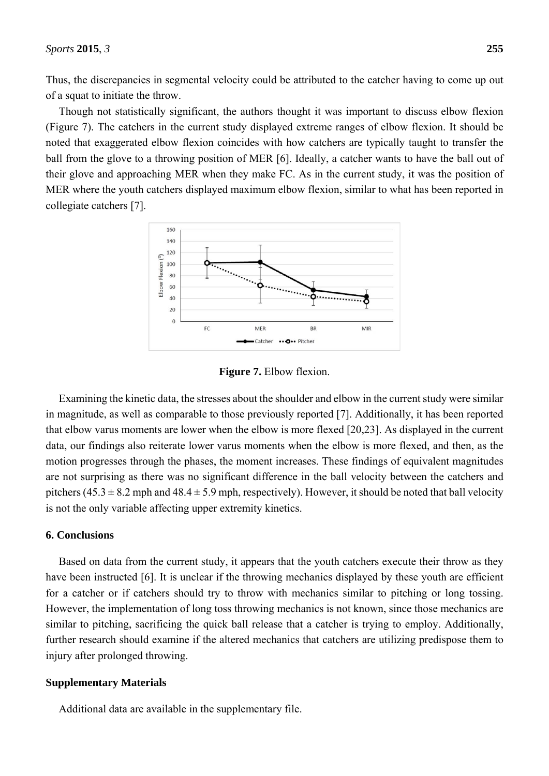Thus, the discrepancies in segmental velocity could be attributed to the catcher having to come up out of a squat to initiate the throw.

Though not statistically significant, the authors thought it was important to discuss elbow flexion (Figure 7). The catchers in the current study displayed extreme ranges of elbow flexion. It should be noted that exaggerated elbow flexion coincides with how catchers are typically taught to transfer the ball from the glove to a throwing position of MER [6]. Ideally, a catcher wants to have the ball out of their glove and approaching MER when they make FC. As in the current study, it was the position of MER where the youth catchers displayed maximum elbow flexion, similar to what has been reported in collegiate catchers [7].



**Figure 7.** Elbow flexion.

Examining the kinetic data, the stresses about the shoulder and elbow in the current study were similar in magnitude, as well as comparable to those previously reported [7]. Additionally, it has been reported that elbow varus moments are lower when the elbow is more flexed [20,23]. As displayed in the current data, our findings also reiterate lower varus moments when the elbow is more flexed, and then, as the motion progresses through the phases, the moment increases. These findings of equivalent magnitudes are not surprising as there was no significant difference in the ball velocity between the catchers and pitchers  $(45.3 \pm 8.2 \text{ mph}$  and  $48.4 \pm 5.9 \text{ mph}$ , respectively). However, it should be noted that ball velocity is not the only variable affecting upper extremity kinetics.

## **6. Conclusions**

Based on data from the current study, it appears that the youth catchers execute their throw as they have been instructed [6]. It is unclear if the throwing mechanics displayed by these youth are efficient for a catcher or if catchers should try to throw with mechanics similar to pitching or long tossing. However, the implementation of long toss throwing mechanics is not known, since those mechanics are similar to pitching, sacrificing the quick ball release that a catcher is trying to employ. Additionally, further research should examine if the altered mechanics that catchers are utilizing predispose them to injury after prolonged throwing.

#### **Supplementary Materials**

Additional data are available in the supplementary file.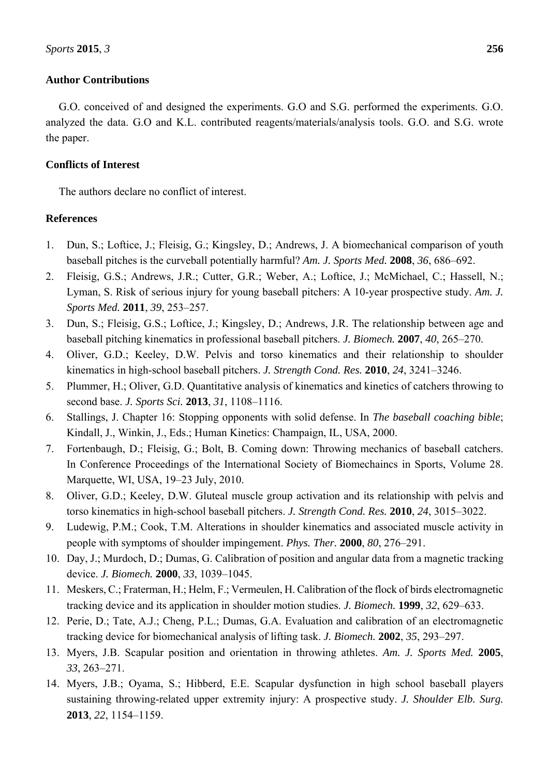# **Author Contributions**

G.O. conceived of and designed the experiments. G.O and S.G. performed the experiments. G.O. analyzed the data. G.O and K.L. contributed reagents/materials/analysis tools. G.O. and S.G. wrote the paper.

# **Conflicts of Interest**

The authors declare no conflict of interest.

## **References**

- 1. Dun, S.; Loftice, J.; Fleisig, G.; Kingsley, D.; Andrews, J. A biomechanical comparison of youth baseball pitches is the curveball potentially harmful? *Am. J. Sports Med.* **2008**, *36*, 686–692.
- 2. Fleisig, G.S.; Andrews, J.R.; Cutter, G.R.; Weber, A.; Loftice, J.; McMichael, C.; Hassell, N.; Lyman, S. Risk of serious injury for young baseball pitchers: A 10-year prospective study. *Am. J. Sports Med.* **2011**, *39*, 253–257.
- 3. Dun, S.; Fleisig, G.S.; Loftice, J.; Kingsley, D.; Andrews, J.R. The relationship between age and baseball pitching kinematics in professional baseball pitchers. *J. Biomech.* **2007**, *40*, 265–270.
- 4. Oliver, G.D.; Keeley, D.W. Pelvis and torso kinematics and their relationship to shoulder kinematics in high-school baseball pitchers. *J. Strength Cond. Res.* **2010**, *24*, 3241–3246.
- 5. Plummer, H.; Oliver, G.D. Quantitative analysis of kinematics and kinetics of catchers throwing to second base. *J. Sports Sci.* **2013**, *31*, 1108–1116.
- 6. Stallings, J. Chapter 16: Stopping opponents with solid defense. In *The baseball coaching bible*; Kindall, J., Winkin, J., Eds.; Human Kinetics: Champaign, IL, USA, 2000.
- 7. Fortenbaugh, D.; Fleisig, G.; Bolt, B. Coming down: Throwing mechanics of baseball catchers. In Conference Proceedings of the International Society of Biomechaincs in Sports, Volume 28. Marquette, WI, USA, 19–23 July, 2010.
- 8. Oliver, G.D.; Keeley, D.W. Gluteal muscle group activation and its relationship with pelvis and torso kinematics in high-school baseball pitchers. *J. Strength Cond. Res.* **2010**, *24*, 3015–3022.
- 9. Ludewig, P.M.; Cook, T.M. Alterations in shoulder kinematics and associated muscle activity in people with symptoms of shoulder impingement. *Phys. Ther.* **2000**, *80*, 276–291.
- 10. Day, J.; Murdoch, D.; Dumas, G. Calibration of position and angular data from a magnetic tracking device. *J. Biomech.* **2000**, *33*, 1039–1045.
- 11. Meskers, C.; Fraterman, H.; Helm, F.; Vermeulen, H. Calibration of the flock of birds electromagnetic tracking device and its application in shoulder motion studies. *J. Biomech.* **1999**, *32*, 629–633.
- 12. Perie, D.; Tate, A.J.; Cheng, P.L.; Dumas, G.A. Evaluation and calibration of an electromagnetic tracking device for biomechanical analysis of lifting task. *J. Biomech.* **2002**, *35*, 293–297.
- 13. Myers, J.B. Scapular position and orientation in throwing athletes. *Am. J. Sports Med.* **2005**, *33*, 263–271.
- 14. Myers, J.B.; Oyama, S.; Hibberd, E.E. Scapular dysfunction in high school baseball players sustaining throwing-related upper extremity injury: A prospective study. *J. Shoulder Elb. Surg.*  **2013**, *22*, 1154–1159.